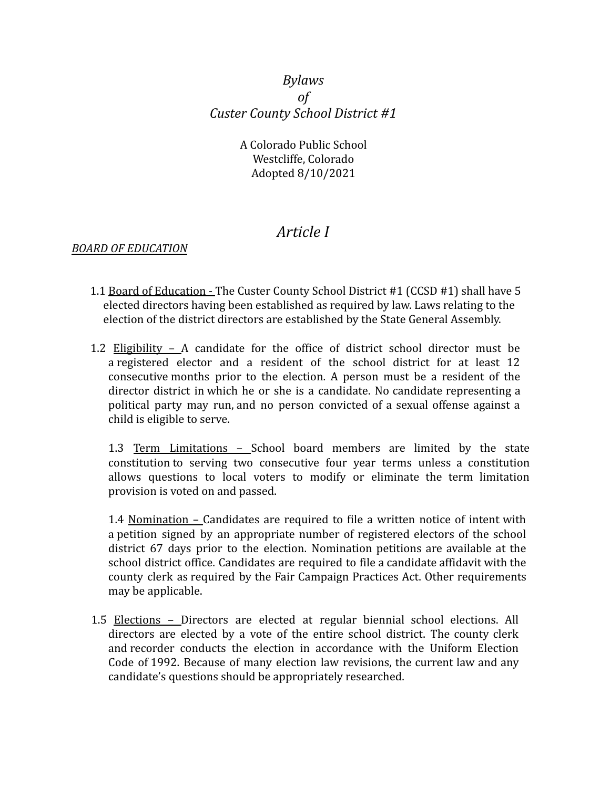### *Bylaws of Custer County School District #1*

A Colorado Public School Westcliffe, Colorado Adopted 8/10/2021

## *Article I*

#### *BOARD OF EDUCATION*

- 1.1 Board of Education The Custer County School District #1 (CCSD #1) shall have 5 elected directors having been established as required by law. Laws relating to the election of the district directors are established by the State General Assembly.
- 1.2 Eligibility A candidate for the office of district school director must be a registered elector and a resident of the school district for at least 12 consecutive months prior to the election. A person must be a resident of the director district in which he or she is a candidate. No candidate representing a political party may run, and no person convicted of a sexual offense against a child is eligible to serve.

1.3 Term Limitations – School board members are limited by the state constitution to serving two consecutive four year terms unless a constitution allows questions to local voters to modify or eliminate the term limitation provision is voted on and passed.

1.4 Nomination – Candidates are required to file a written notice of intent with a petition signed by an appropriate number of registered electors of the school district 67 days prior to the election. Nomination petitions are available at the school district office. Candidates are required to file a candidate affidavit with the county clerk as required by the Fair Campaign Practices Act. Other requirements may be applicable.

1.5 Elections – Directors are elected at regular biennial school elections. All directors are elected by a vote of the entire school district. The county clerk and recorder conducts the election in accordance with the Uniform Election Code of 1992. Because of many election law revisions, the current law and any candidate's questions should be appropriately researched.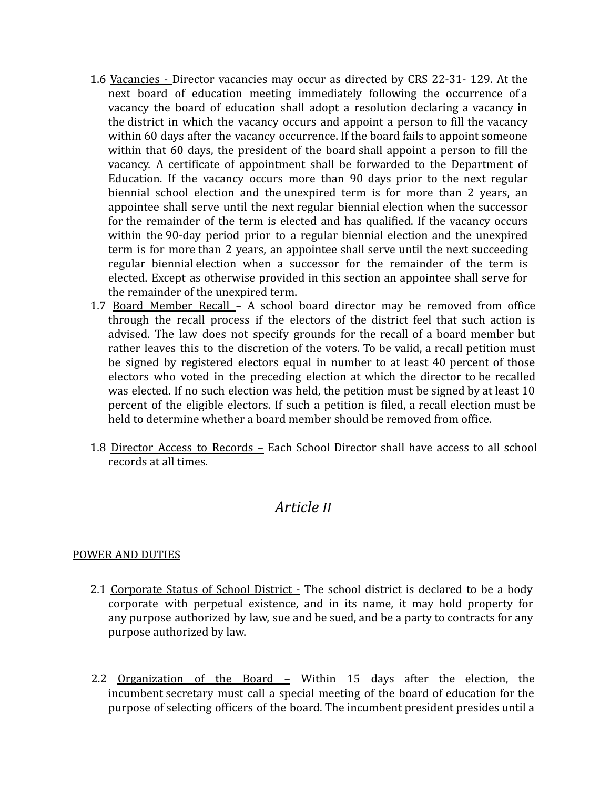- 1.6 Vacancies Director vacancies may occur as directed by CRS 22-31- 129. At the next board of education meeting immediately following the occurrence of a vacancy the board of education shall adopt a resolution declaring a vacancy in the district in which the vacancy occurs and appoint a person to fill the vacancy within 60 days after the vacancy occurrence. If the board fails to appoint someone within that 60 days, the president of the board shall appoint a person to fill the vacancy. A certificate of appointment shall be forwarded to the Department of Education. If the vacancy occurs more than 90 days prior to the next regular biennial school election and the unexpired term is for more than 2 years, an appointee shall serve until the next regular biennial election when the successor for the remainder of the term is elected and has qualified. If the vacancy occurs within the 90-day period prior to a regular biennial election and the unexpired term is for more than 2 years, an appointee shall serve until the next succeeding regular biennial election when a successor for the remainder of the term is elected. Except as otherwise provided in this section an appointee shall serve for the remainder of the unexpired term.
- 1.7 Board Member Recall A school board director may be removed from office through the recall process if the electors of the district feel that such action is advised. The law does not specify grounds for the recall of a board member but rather leaves this to the discretion of the voters. To be valid, a recall petition must be signed by registered electors equal in number to at least 40 percent of those electors who voted in the preceding election at which the director to be recalled was elected. If no such election was held, the petition must be signed by at least 10 percent of the eligible electors. If such a petition is filed, a recall election must be held to determine whether a board member should be removed from office.
- 1.8 Director Access to Records Each School Director shall have access to all school records at all times.

## *Article II*

#### POWER AND DUTIES

- 2.1 Corporate Status of School District The school district is declared to be a body corporate with perpetual existence, and in its name, it may hold property for any purpose authorized by law, sue and be sued, and be a party to contracts for any purpose authorized by law.
- 2.2 Organization of the Board Within 15 days after the election, the incumbent secretary must call a special meeting of the board of education for the purpose of selecting officers of the board. The incumbent president presides until a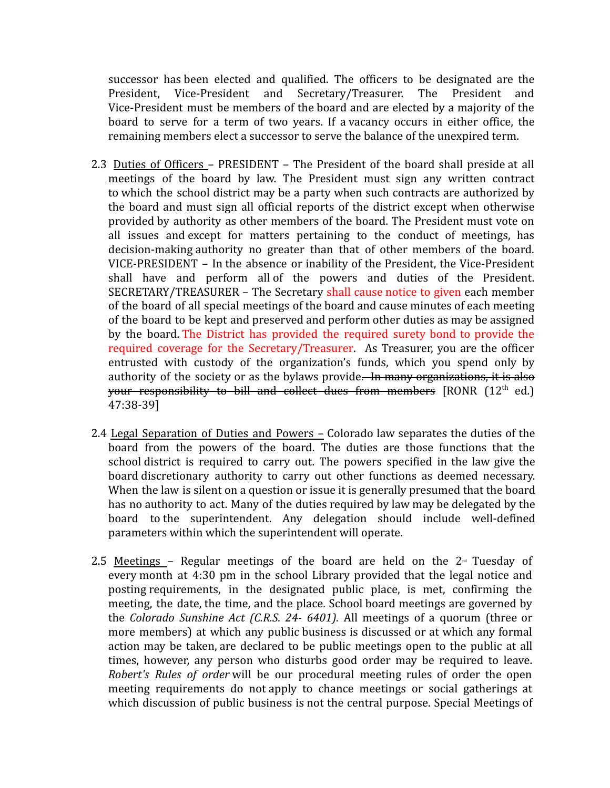successor has been elected and qualified. The officers to be designated are the President, Vice-President and Secretary/Treasurer. The President and Vice-President must be members of the board and are elected by a majority of the board to serve for a term of two years. If a vacancy occurs in either office, the remaining members elect a successor to serve the balance of the unexpired term.

- 2.3 Duties of Officers PRESIDENT The President of the board shall preside at all meetings of the board by law. The President must sign any written contract to which the school district may be a party when such contracts are authorized by the board and must sign all official reports of the district except when otherwise provided by authority as other members of the board. The President must vote on all issues and except for matters pertaining to the conduct of meetings, has decision-making authority no greater than that of other members of the board. VICE-PRESIDENT – In the absence or inability of the President, the Vice-President shall have and perform all of the powers and duties of the President. SECRETARY/TREASURER – The Secretary shall cause notice to given each member of the board of all special meetings of the board and cause minutes of each meeting of the board to be kept and preserved and perform other duties as may be assigned by the board. The District has provided the required surety bond to provide the required coverage for the Secretary/Treasurer. As Treasurer, you are the officer entrusted with custody of the organization's funds, which you spend only by authority of the society or as the bylaws provide. In many organizations, it is also your responsibility to bill and collect dues from members  $[RONR (12<sup>th</sup> ed.)]$ 47:38-39]
- 2.4 Legal Separation of Duties and Powers Colorado law separates the duties of the board from the powers of the board. The duties are those functions that the school district is required to carry out. The powers specified in the law give the board discretionary authority to carry out other functions as deemed necessary. When the law is silent on a question or issue it is generally presumed that the board has no authority to act. Many of the duties required by law may be delegated by the board to the superintendent. Any delegation should include well-defined parameters within which the superintendent will operate.
- 2.5 Meetings Regular meetings of the board are held on the  $2<sup>nd</sup>$  Tuesday of every month at 4:30 pm in the school Library provided that the legal notice and posting requirements, in the designated public place, is met, confirming the meeting, the date, the time, and the place. School board meetings are governed by the *Colorado Sunshine Act (C.R.S. 24- 6401).* All meetings of a quorum (three or more members) at which any public business is discussed or at which any formal action may be taken, are declared to be public meetings open to the public at all times, however, any person who disturbs good order may be required to leave. *Robert's Rules of order* will be our procedural meeting rules of order the open meeting requirements do not apply to chance meetings or social gatherings at which discussion of public business is not the central purpose. Special Meetings of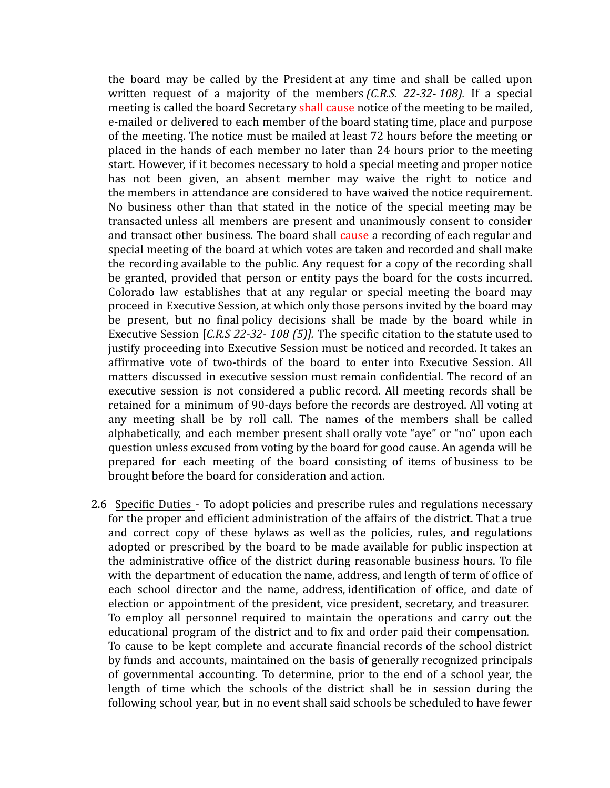the board may be called by the President at any time and shall be called upon written request of a majority of the members *(C.R.S. 22-32- 108).* If a special meeting is called the board Secretary shall cause notice of the meeting to be mailed, e-mailed or delivered to each member of the board stating time, place and purpose of the meeting. The notice must be mailed at least 72 hours before the meeting or placed in the hands of each member no later than 24 hours prior to the meeting start. However, if it becomes necessary to hold a special meeting and proper notice has not been given, an absent member may waive the right to notice and the members in attendance are considered to have waived the notice requirement. No business other than that stated in the notice of the special meeting may be transacted unless all members are present and unanimously consent to consider and transact other business. The board shall cause a recording of each regular and special meeting of the board at which votes are taken and recorded and shall make the recording available to the public. Any request for a copy of the recording shall be granted, provided that person or entity pays the board for the costs incurred. Colorado law establishes that at any regular or special meeting the board may proceed in Executive Session, at which only those persons invited by the board may be present, but no final policy decisions shall be made by the board while in Executive Session [*C.R.S 22-32- 108 (5)].* The specific citation to the statute used to justify proceeding into Executive Session must be noticed and recorded. It takes an affirmative vote of two-thirds of the board to enter into Executive Session. All matters discussed in executive session must remain confidential. The record of an executive session is not considered a public record. All meeting records shall be retained for a minimum of 90-days before the records are destroyed. All voting at any meeting shall be by roll call. The names of the members shall be called alphabetically, and each member present shall orally vote "aye" or "no" upon each question unless excused from voting by the board for good cause. An agenda will be prepared for each meeting of the board consisting of items of business to be brought before the board for consideration and action.

2.6 Specific Duties - To adopt policies and prescribe rules and regulations necessary for the proper and efficient administration of the affairs of the district. That a true and correct copy of these bylaws as well as the policies, rules, and regulations adopted or prescribed by the board to be made available for public inspection at the administrative office of the district during reasonable business hours. To file with the department of education the name, address, and length of term of office of each school director and the name, address, identification of office, and date of election or appointment of the president, vice president, secretary, and treasurer. To employ all personnel required to maintain the operations and carry out the educational program of the district and to fix and order paid their compensation. To cause to be kept complete and accurate financial records of the school district by funds and accounts, maintained on the basis of generally recognized principals of governmental accounting. To determine, prior to the end of a school year, the length of time which the schools of the district shall be in session during the following school year, but in no event shall said schools be scheduled to have fewer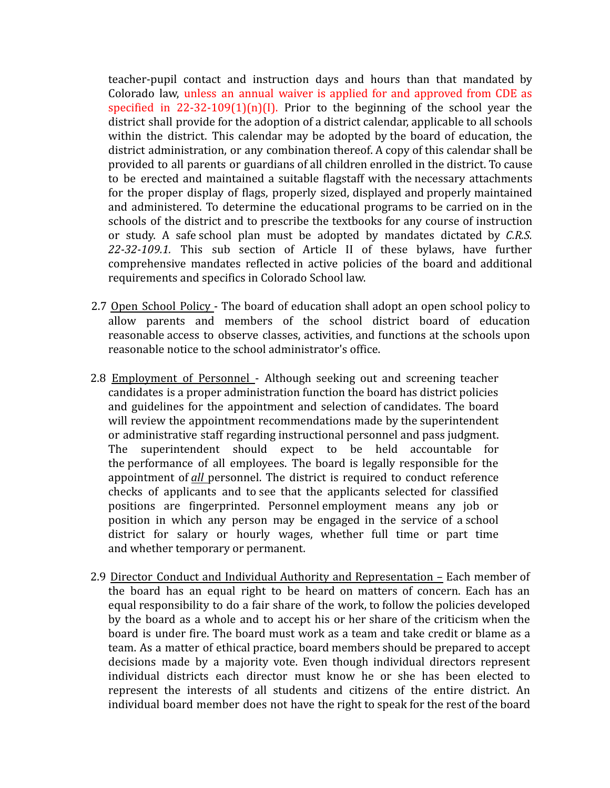teacher-pupil contact and instruction days and hours than that mandated by Colorado law, unless an annual waiver is applied for and approved from CDE as specified in  $22-32-109(1)(n)(1)$ . Prior to the beginning of the school year the district shall provide for the adoption of a district calendar, applicable to all schools within the district. This calendar may be adopted by the board of education, the district administration, or any combination thereof. A copy of this calendar shall be provided to all parents or guardians of all children enrolled in the district. To cause to be erected and maintained a suitable flagstaff with the necessary attachments for the proper display of flags, properly sized, displayed and properly maintained and administered. To determine the educational programs to be carried on in the schools of the district and to prescribe the textbooks for any course of instruction or study. A safe school plan must be adopted by mandates dictated by *C.R.S. 22-32-109.1.* This sub section of Article II of these bylaws, have further comprehensive mandates reflected in active policies of the board and additional requirements and specifics in Colorado School law.

- 2.7 Open School Policy The board of education shall adopt an open school policy to allow parents and members of the school district board of education reasonable access to observe classes, activities, and functions at the schools upon reasonable notice to the school administrator's office.
- 2.8 Employment of Personnel Although seeking out and screening teacher candidates is a proper administration function the board has district policies and guidelines for the appointment and selection of candidates. The board will review the appointment recommendations made by the superintendent or administrative staff regarding instructional personnel and pass judgment. The superintendent should expect to be held accountable for the performance of all employees. The board is legally responsible for the appointment of *all* personnel. The district is required to conduct reference checks of applicants and to see that the applicants selected for classified positions are fingerprinted. Personnel employment means any job or position in which any person may be engaged in the service of a school district for salary or hourly wages, whether full time or part time and whether temporary or permanent.
- 2.9 Director Conduct and Individual Authority and Representation Each member of the board has an equal right to be heard on matters of concern. Each has an equal responsibility to do a fair share of the work, to follow the policies developed by the board as a whole and to accept his or her share of the criticism when the board is under fire. The board must work as a team and take credit or blame as a team. As a matter of ethical practice, board members should be prepared to accept decisions made by a majority vote. Even though individual directors represent individual districts each director must know he or she has been elected to represent the interests of all students and citizens of the entire district. An individual board member does not have the right to speak for the rest of the board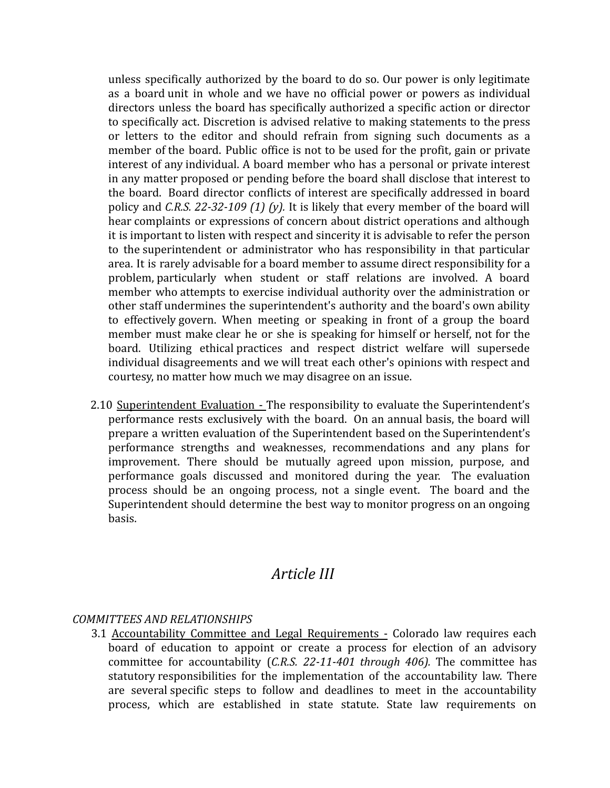unless specifically authorized by the board to do so. Our power is only legitimate as a board unit in whole and we have no official power or powers as individual directors unless the board has specifically authorized a specific action or director to specifically act. Discretion is advised relative to making statements to the press or letters to the editor and should refrain from signing such documents as a member of the board. Public office is not to be used for the profit, gain or private interest of any individual. A board member who has a personal or private interest in any matter proposed or pending before the board shall disclose that interest to the board. Board director conflicts of interest are specifically addressed in board policy and *C.R.S. 22-32-109 (1) (y).* It is likely that every member of the board will hear complaints or expressions of concern about district operations and although it is important to listen with respect and sincerity it is advisable to refer the person to the superintendent or administrator who has responsibility in that particular area. It is rarely advisable for a board member to assume direct responsibility for a problem, particularly when student or staff relations are involved. A board member who attempts to exercise individual authority over the administration or other staff undermines the superintendent's authority and the board's own ability to effectively govern. When meeting or speaking in front of a group the board member must make clear he or she is speaking for himself or herself, not for the board. Utilizing ethical practices and respect district welfare will supersede individual disagreements and we will treat each other's opinions with respect and courtesy, no matter how much we may disagree on an issue.

2.10 Superintendent Evaluation - The responsibility to evaluate the Superintendent's performance rests exclusively with the board. On an annual basis, the board will prepare a written evaluation of the Superintendent based on the Superintendent's performance strengths and weaknesses, recommendations and any plans for improvement. There should be mutually agreed upon mission, purpose, and performance goals discussed and monitored during the year. The evaluation process should be an ongoing process, not a single event. The board and the Superintendent should determine the best way to monitor progress on an ongoing basis.

## *Article III*

#### *COMMITTEES AND RELATIONSHIPS*

3.1 Accountability Committee and Legal Requirements - Colorado law requires each board of education to appoint or create a process for election of an advisory committee for accountability (*C.R.S. 22-11-401 through 406).* The committee has statutory responsibilities for the implementation of the accountability law. There are several specific steps to follow and deadlines to meet in the accountability process, which are established in state statute. State law requirements on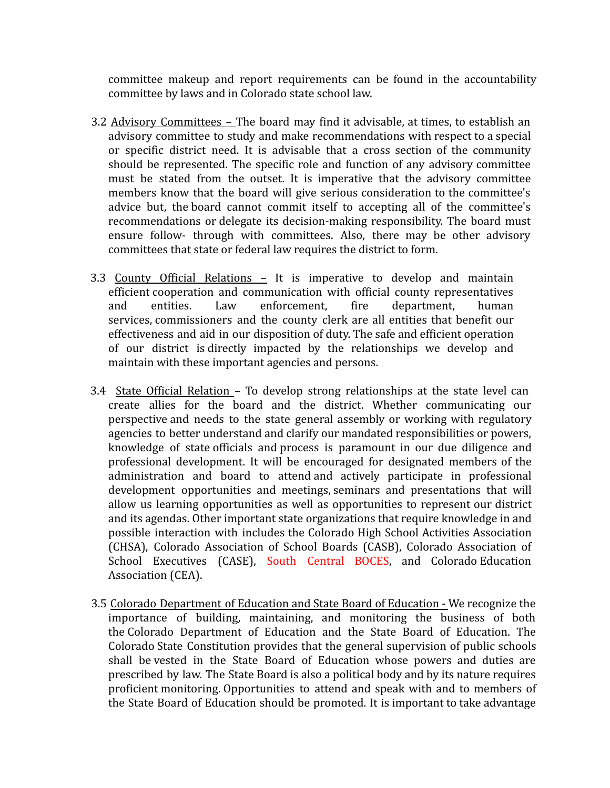committee makeup and report requirements can be found in the accountability committee by laws and in Colorado state school law.

- 3.2 Advisory Committees The board may find it advisable, at times, to establish an advisory committee to study and make recommendations with respect to a special or specific district need. It is advisable that a cross section of the community should be represented. The specific role and function of any advisory committee must be stated from the outset. It is imperative that the advisory committee members know that the board will give serious consideration to the committee's advice but, the board cannot commit itself to accepting all of the committee's recommendations or delegate its decision-making responsibility. The board must ensure follow- through with committees. Also, there may be other advisory committees that state or federal law requires the district to form.
- 3.3 County Official Relations It is imperative to develop and maintain efficient cooperation and communication with official county representatives and entities. Law enforcement, fire department, human services, commissioners and the county clerk are all entities that benefit our effectiveness and aid in our disposition of duty. The safe and efficient operation of our district is directly impacted by the relationships we develop and maintain with these important agencies and persons.
- 3.4 State Official Relation To develop strong relationships at the state level can create allies for the board and the district. Whether communicating our perspective and needs to the state general assembly or working with regulatory agencies to better understand and clarify our mandated responsibilities or powers, knowledge of state officials and process is paramount in our due diligence and professional development. It will be encouraged for designated members of the administration and board to attend and actively participate in professional development opportunities and meetings, seminars and presentations that will allow us learning opportunities as well as opportunities to represent our district and its agendas. Other important state organizations that require knowledge in and possible interaction with includes the Colorado High School Activities Association (CHSA), Colorado Association of School Boards (CASB), Colorado Association of School Executives (CASE), South Central BOCES, and Colorado Education Association (CEA).
- 3.5 Colorado Department of Education and State Board of Education We recognize the importance of building, maintaining, and monitoring the business of both the Colorado Department of Education and the State Board of Education. The Colorado State Constitution provides that the general supervision of public schools shall be vested in the State Board of Education whose powers and duties are prescribed by law. The State Board is also a political body and by its nature requires proficient monitoring. Opportunities to attend and speak with and to members of the State Board of Education should be promoted. It is important to take advantage